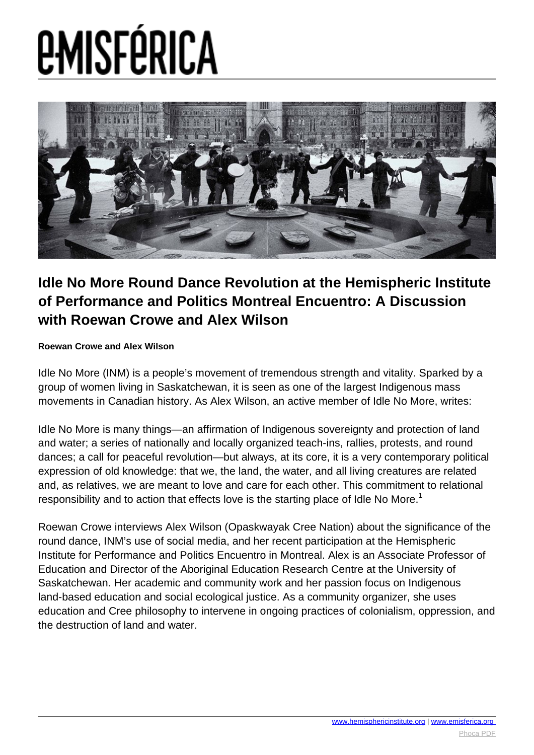

## **Idle No More Round Dance Revolution at the Hemispheric Institute of Performance and Politics Montreal Encuentro: A Discussion with Roewan Crowe and Alex Wilson**

### **Roewan Crowe and Alex Wilson**

Idle No More (INM) is a people's movement of tremendous strength and vitality. Sparked by a group of women living in Saskatchewan, it is seen as one of the largest Indigenous mass movements in Canadian history. As Alex Wilson, an active member of Idle No More, writes:

Idle No More is many things—an affirmation of Indigenous sovereignty and protection of land and water; a series of nationally and locally organized teach-ins, rallies, protests, and round dances; a call for peaceful revolution—but always, at its core, it is a very contemporary political expression of old knowledge: that we, the land, the water, and all living creatures are related and, as relatives, we are meant to love and care for each other. This commitment to relational responsibility and to action that effects love is the starting place of Idle No More.<sup>1</sup>

Roewan Crowe interviews Alex Wilson (Opaskwayak Cree Nation) about the significance of the round dance, INM's use of social media, and her recent participation at the Hemispheric Institute for Performance and Politics Encuentro in Montreal. Alex is an Associate Professor of Education and Director of the Aboriginal Education Research Centre at the University of Saskatchewan. Her academic and community work and her passion focus on Indigenous land-based education and social ecological justice. As a community organizer, she uses education and Cree philosophy to intervene in ongoing practices of colonialism, oppression, and the destruction of land and water.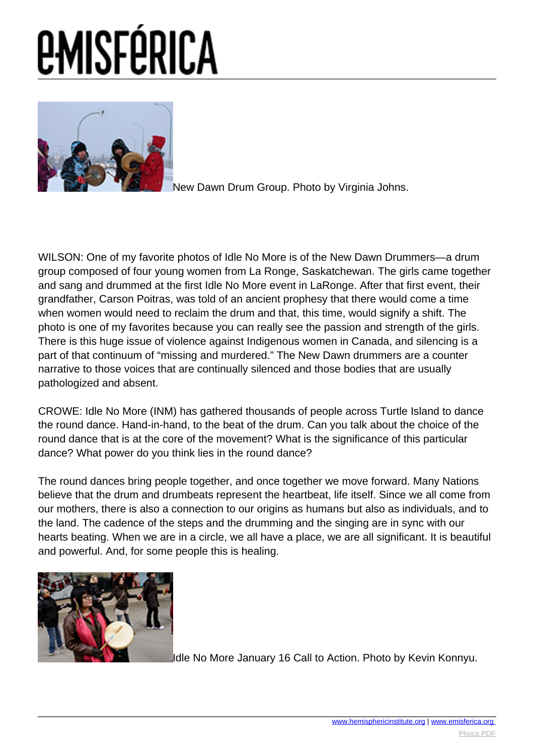

[N](images/e-misferica/11.2_images/112_lg_crowe_02.jpg)ew Dawn Drum Group. Photo by Virginia Johns.

WILSON: One of my favorite photos of Idle No More is of the New Dawn Drummers—a drum group composed of four young women from La Ronge, Saskatchewan. The girls came together and sang and drummed at the first Idle No More event in LaRonge. After that first event, their grandfather, Carson Poitras, was told of an ancient prophesy that there would come a time when women would need to reclaim the drum and that, this time, would signify a shift. The photo is one of my favorites because you can really see the passion and strength of the girls. There is this huge issue of violence against Indigenous women in Canada, and silencing is a part of that continuum of "missing and murdered." The New Dawn drummers are a counter narrative to those voices that are continually silenced and those bodies that are usually pathologized and absent.

CROWE: Idle No More (INM) has gathered thousands of people across Turtle Island to dance the round dance. Hand-in-hand, to the beat of the drum. Can you talk about the choice of the round dance that is at the core of the movement? What is the significance of this particular dance? What power do you think lies in the round dance?

The round dances bring people together, and once together we move forward. Many Nations believe that the drum and drumbeats represent the heartbeat, life itself. Since we all come from our mothers, there is also a connection to our origins as humans but also as individuals, and to the land. The cadence of the steps and the drumming and the singing are in sync with our hearts beating. When we are in a circle, we all have a place, we are all significant. It is beautiful and powerful. And, for some people this is healing.



[I](images/e-misferica/11.2_images/112_lg_crowe_03.jpg)dle No More January 16 Call to Action. Photo by Kevin Konnyu.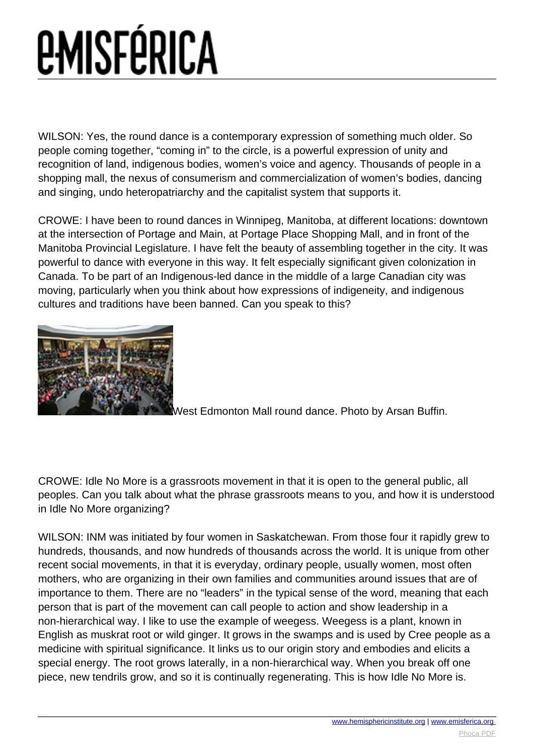## *<u>EMISFÉRICA</u>*

WILSON: Yes, the round dance is a contemporary expression of something much older. So people coming together, "coming in" to the circle, is a powerful expression of unity and recognition of land, indigenous bodies, women's voice and agency. Thousands of people in a shopping mall, the nexus of consumerism and commercialization of women's bodies, dancing and singing, undo heteropatriarchy and the capitalist system that supports it.

CROWE: I have been to round dances in Winnipeg, Manitoba, at different locations: downtown at the intersection of Portage and Main, at Portage Place Shopping Mall, and in front of the Manitoba Provincial Legislature. I have felt the beauty of assembling together in the city. It was powerful to dance with everyone in this way. It felt especially significant given colonization in Canada. To be part of an Indigenous-led dance in the middle of a large Canadian city was moving, particularly when you think about how expressions of indigeneity, and indigenous cultures and traditions have been banned. Can you speak to this?



[W](images/e-misferica/11.2_images/112_lg_crowe_05.jpg)est Edmonton Mall round dance. Photo by Arsan Buffin.

CROWE: Idle No More is a grassroots movement in that it is open to the general public, all peoples. Can you talk about what the phrase grassroots means to you, and how it is understood in Idle No More organizing?

WILSON: INM was initiated by four women in Saskatchewan. From those four it rapidly grew to hundreds, thousands, and now hundreds of thousands across the world. It is unique from other recent social movements, in that it is everyday, ordinary people, usually women, most often mothers, who are organizing in their own families and communities around issues that are of importance to them. There are no "leaders" in the typical sense of the word, meaning that each person that is part of the movement can call people to action and show leadership in a non-hierarchical way. I like to use the example of weegess. Weegess is a plant, known in English as muskrat root or wild ginger. It grows in the swamps and is used by Cree people as a medicine with spiritual significance. It links us to our origin story and embodies and elicits a special energy. The root grows laterally, in a non-hierarchical way. When you break off one piece, new tendrils grow, and so it is continually regenerating. This is how Idle No More is.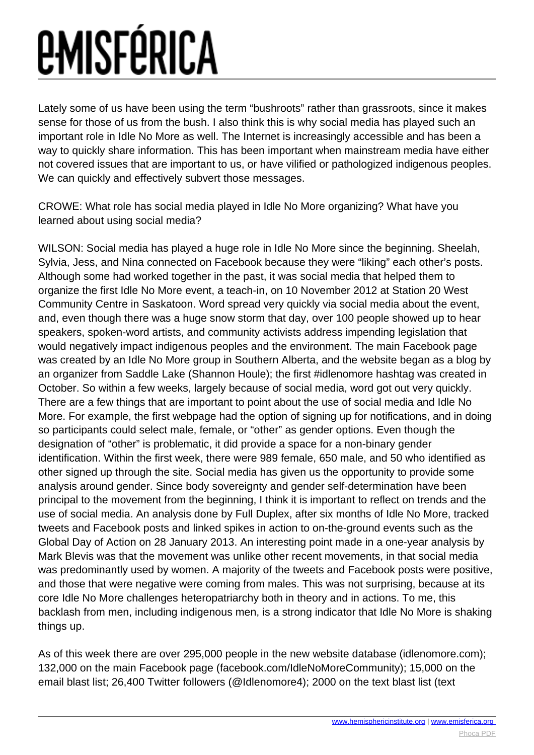## *<u>EMISFÉRICA</u>*

Lately some of us have been using the term "bushroots" rather than grassroots, since it makes sense for those of us from the bush. I also think this is why social media has played such an important role in Idle No More as well. The Internet is increasingly accessible and has been a way to quickly share information. This has been important when mainstream media have either not covered issues that are important to us, or have vilified or pathologized indigenous peoples. We can quickly and effectively subvert those messages.

CROWE: What role has social media played in Idle No More organizing? What have you learned about using social media?

WILSON: Social media has played a huge role in Idle No More since the beginning. Sheelah, Sylvia, Jess, and Nina connected on Facebook because they were "liking" each other's posts. Although some had worked together in the past, it was social media that helped them to organize the first Idle No More event, a teach-in, on 10 November 2012 at Station 20 West Community Centre in Saskatoon. Word spread very quickly via social media about the event, and, even though there was a huge snow storm that day, over 100 people showed up to hear speakers, spoken-word artists, and community activists address impending legislation that would negatively impact indigenous peoples and the environment. The main Facebook page was created by an Idle No More group in Southern Alberta, and the website began as a blog by an organizer from Saddle Lake (Shannon Houle); the first #idlenomore hashtag was created in October. So within a few weeks, largely because of social media, word got out very quickly. There are a few things that are important to point about the use of social media and Idle No More. For example, the first webpage had the option of signing up for notifications, and in doing so participants could select male, female, or "other" as gender options. Even though the designation of "other" is problematic, it did provide a space for a non-binary gender identification. Within the first week, there were 989 female, 650 male, and 50 who identified as other signed up through the site. Social media has given us the opportunity to provide some analysis around gender. Since body sovereignty and gender self-determination have been principal to the movement from the beginning, I think it is important to reflect on trends and the use of social media. An analysis done by Full Duplex, after six months of Idle No More, tracked tweets and Facebook posts and linked spikes in action to on-the-ground events such as the Global Day of Action on 28 January 2013. An interesting point made in a one-year analysis by Mark Blevis was that the movement was unlike other recent movements, in that social media was predominantly used by women. A majority of the tweets and Facebook posts were positive, and those that were negative were coming from males. This was not surprising, because at its core Idle No More challenges heteropatriarchy both in theory and in actions. To me, this backlash from men, including indigenous men, is a strong indicator that Idle No More is shaking things up.

As of this week there are over 295,000 people in the new website database (idlenomore.com); 132,000 on the main Facebook page (facebook.com/IdleNoMoreCommunity); 15,000 on the email blast list; 26,400 Twitter followers (@Idlenomore4); 2000 on the text blast list (text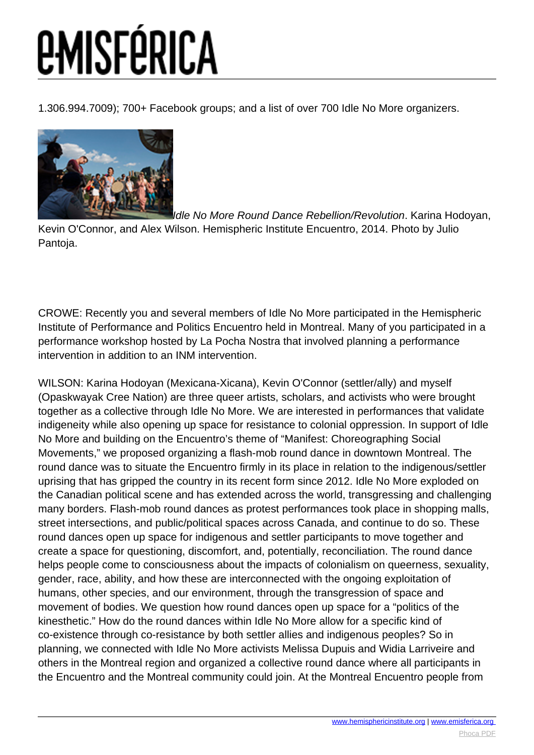1.306.994.7009); 700+ Facebook groups; and a list of over 700 Idle No More organizers.



[I](images/e-misferica/11.2_images/112_lg_crowe_4b.jpg)dle No More Round Dance Rebellion/Revolution. Karina Hodoyan,

Kevin O'Connor, and Alex Wilson. Hemispheric Institute Encuentro, 2014. Photo by Julio Pantoja.

CROWE: Recently you and several members of Idle No More participated in the Hemispheric Institute of Performance and Politics Encuentro held in Montreal. Many of you participated in a performance workshop hosted by La Pocha Nostra that involved planning a performance intervention in addition to an INM intervention.

WILSON: Karina Hodoyan (Mexicana-Xicana), Kevin O'Connor (settler/ally) and myself (Opaskwayak Cree Nation) are three queer artists, scholars, and activists who were brought together as a collective through Idle No More. We are interested in performances that validate indigeneity while also opening up space for resistance to colonial oppression. In support of Idle No More and building on the Encuentro's theme of "Manifest: Choreographing Social Movements," we proposed organizing a flash-mob round dance in downtown Montreal. The round dance was to situate the Encuentro firmly in its place in relation to the indigenous/settler uprising that has gripped the country in its recent form since 2012. Idle No More exploded on the Canadian political scene and has extended across the world, transgressing and challenging many borders. Flash-mob round dances as protest performances took place in shopping malls, street intersections, and public/political spaces across Canada, and continue to do so. These round dances open up space for indigenous and settler participants to move together and create a space for questioning, discomfort, and, potentially, reconciliation. The round dance helps people come to consciousness about the impacts of colonialism on queerness, sexuality, gender, race, ability, and how these are interconnected with the ongoing exploitation of humans, other species, and our environment, through the transgression of space and movement of bodies. We question how round dances open up space for a "politics of the kinesthetic." How do the round dances within Idle No More allow for a specific kind of co-existence through co-resistance by both settler allies and indigenous peoples? So in planning, we connected with Idle No More activists Melissa Dupuis and Widia Larriveire and others in the Montreal region and organized a collective round dance where all participants in the Encuentro and the Montreal community could join. At the Montreal Encuentro people from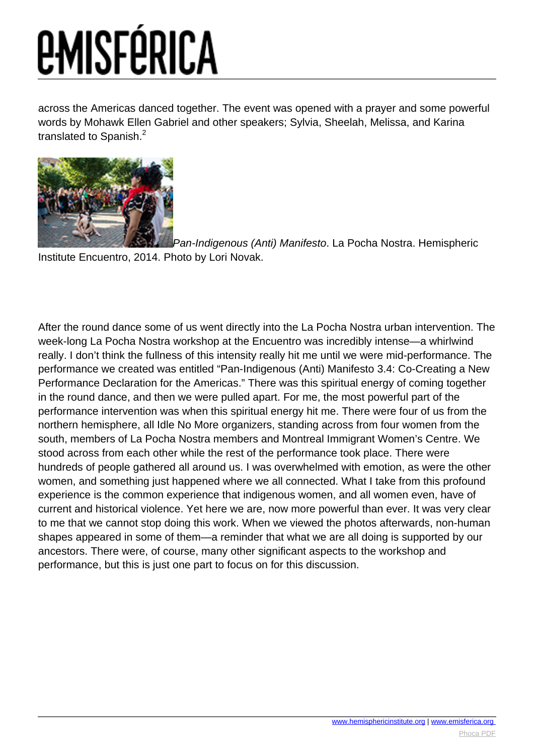across the Americas danced together. The event was opened with a prayer and some powerful words by Mohawk Ellen Gabriel and other speakers; Sylvia, Sheelah, Melissa, and Karina translated to Spanish.<sup>2</sup>



[P](images/e-misferica/11.2_images/112_lg_crowe_5b.jpg)an-Indigenous (Anti) Manifesto. La Pocha Nostra. Hemispheric Institute Encuentro, 2014. Photo by Lori Novak.

After the round dance some of us went directly into the La Pocha Nostra urban intervention. The week-long La Pocha Nostra workshop at the Encuentro was incredibly intense—a whirlwind really. I don't think the fullness of this intensity really hit me until we were mid-performance. The performance we created was entitled "Pan-Indigenous (Anti) Manifesto 3.4: Co-Creating a New Performance Declaration for the Americas." There was this spiritual energy of coming together in the round dance, and then we were pulled apart. For me, the most powerful part of the performance intervention was when this spiritual energy hit me. There were four of us from the northern hemisphere, all Idle No More organizers, standing across from four women from the south, members of La Pocha Nostra members and Montreal Immigrant Women's Centre. We stood across from each other while the rest of the performance took place. There were hundreds of people gathered all around us. I was overwhelmed with emotion, as were the other women, and something just happened where we all connected. What I take from this profound experience is the common experience that indigenous women, and all women even, have of current and historical violence. Yet here we are, now more powerful than ever. It was very clear to me that we cannot stop doing this work. When we viewed the photos afterwards, non-human shapes appeared in some of them—a reminder that what we are all doing is supported by our ancestors. There were, of course, many other significant aspects to the workshop and performance, but this is just one part to focus on for this discussion.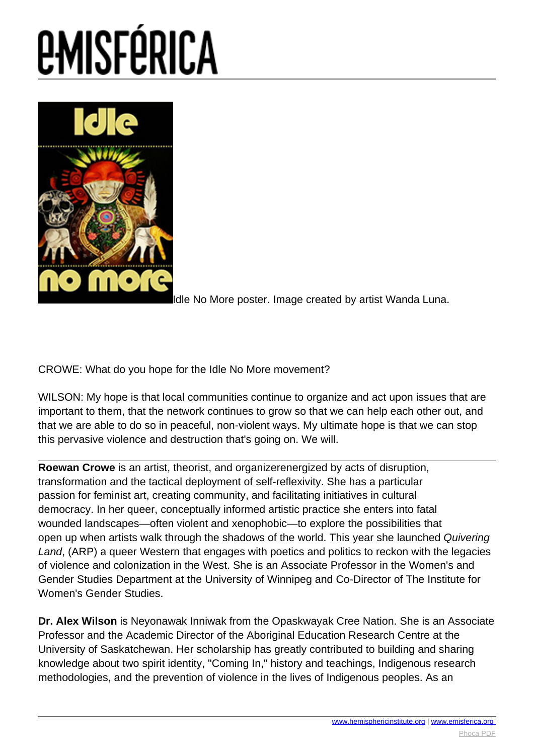# *<u>EMISFÉRICA</u>*



dle No More poster. [I](images/e-misferica/11.2_images/112_lg_crowe_01.jpg)mage created by artist Wanda Luna.

CROWE: What do you hope for the Idle No More movement?

WILSON: My hope is that local communities continue to organize and act upon issues that are important to them, that the network continues to grow so that we can help each other out, and that we are able to do so in peaceful, non-violent ways. My ultimate hope is that we can stop this pervasive violence and destruction that's going on. We will.

**Roewan Crowe** is an artist, theorist, and organizerenergized by acts of disruption, transformation and the tactical deployment of self-reflexivity. She has a particular passion for feminist art, creating community, and facilitating initiatives in cultural democracy. In her queer, conceptually informed artistic practice she enters into fatal wounded landscapes—often violent and xenophobic—to explore the possibilities that open up when artists walk through the shadows of the world. This year she launched Quivering Land, (ARP) a queer Western that engages with poetics and politics to reckon with the legacies of violence and colonization in the West. She is an Associate Professor in the Women's and Gender Studies Department at the University of Winnipeg and Co-Director of The Institute for Women's Gender Studies.

**Dr. Alex Wilson** is Neyonawak Inniwak from the Opaskwayak Cree Nation. She is an Associate Professor and the Academic Director of the Aboriginal Education Research Centre at the University of Saskatchewan. Her scholarship has greatly contributed to building and sharing knowledge about two spirit identity, "Coming In," history and teachings, Indigenous research methodologies, and the prevention of violence in the lives of Indigenous peoples. As an